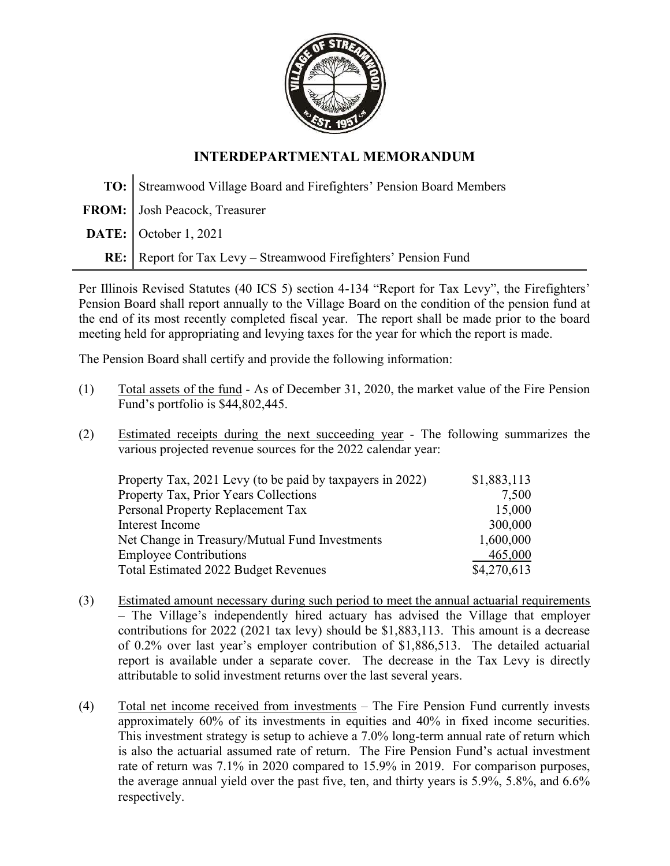

## INTERDEPARTMENTAL MEMORANDUM

TO: Streamwood Village Board and Firefighters' Pension Board Members FROM: Josh Peacock, Treasurer **DATE:** October 1, 2021 RE: Report for Tax Levy – Streamwood Firefighters' Pension Fund

Per Illinois Revised Statutes (40 ICS 5) section 4-134 "Report for Tax Levy", the Firefighters' Pension Board shall report annually to the Village Board on the condition of the pension fund at the end of its most recently completed fiscal year. The report shall be made prior to the board meeting held for appropriating and levying taxes for the year for which the report is made.

The Pension Board shall certify and provide the following information:

- (1) Total assets of the fund As of December 31, 2020, the market value of the Fire Pension Fund's portfolio is \$44,802,445.
- (2) Estimated receipts during the next succeeding year The following summarizes the various projected revenue sources for the 2022 calendar year:

| Property Tax, 2021 Levy (to be paid by taxpayers in 2022) | \$1,883,113 |
|-----------------------------------------------------------|-------------|
| Property Tax, Prior Years Collections                     | 7,500       |
| Personal Property Replacement Tax                         | 15,000      |
| Interest Income                                           | 300,000     |
| Net Change in Treasury/Mutual Fund Investments            | 1,600,000   |
| <b>Employee Contributions</b>                             | 465,000     |
| Total Estimated 2022 Budget Revenues                      | \$4,270,613 |

- (3) Estimated amount necessary during such period to meet the annual actuarial requirements – The Village's independently hired actuary has advised the Village that employer contributions for 2022 (2021 tax levy) should be \$1,883,113. This amount is a decrease of 0.2% over last year's employer contribution of \$1,886,513. The detailed actuarial report is available under a separate cover. The decrease in the Tax Levy is directly attributable to solid investment returns over the last several years.
- (4) Total net income received from investments The Fire Pension Fund currently invests approximately 60% of its investments in equities and 40% in fixed income securities. This investment strategy is setup to achieve a 7.0% long-term annual rate of return which is also the actuarial assumed rate of return. The Fire Pension Fund's actual investment rate of return was 7.1% in 2020 compared to 15.9% in 2019. For comparison purposes, the average annual yield over the past five, ten, and thirty years is 5.9%, 5.8%, and 6.6% respectively.